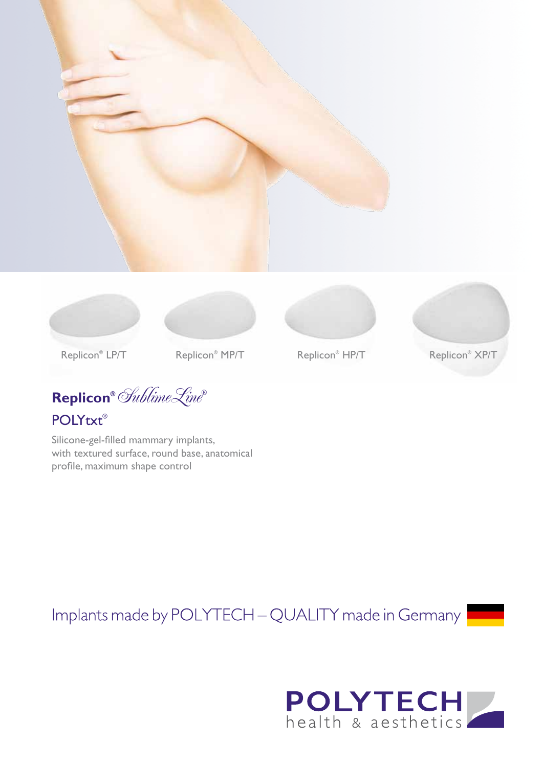







Replicon<sup>®</sup> HP/T



Replicon<sup>®</sup> LP/T

**Replicon®** SublimeLine**®** POLYtxt®

Silicone-gel-filled mammary implants, with textured surface, round base, anatomical profile, maximum shape control

Implants made by POLYTECH - QUALITY made in Germany